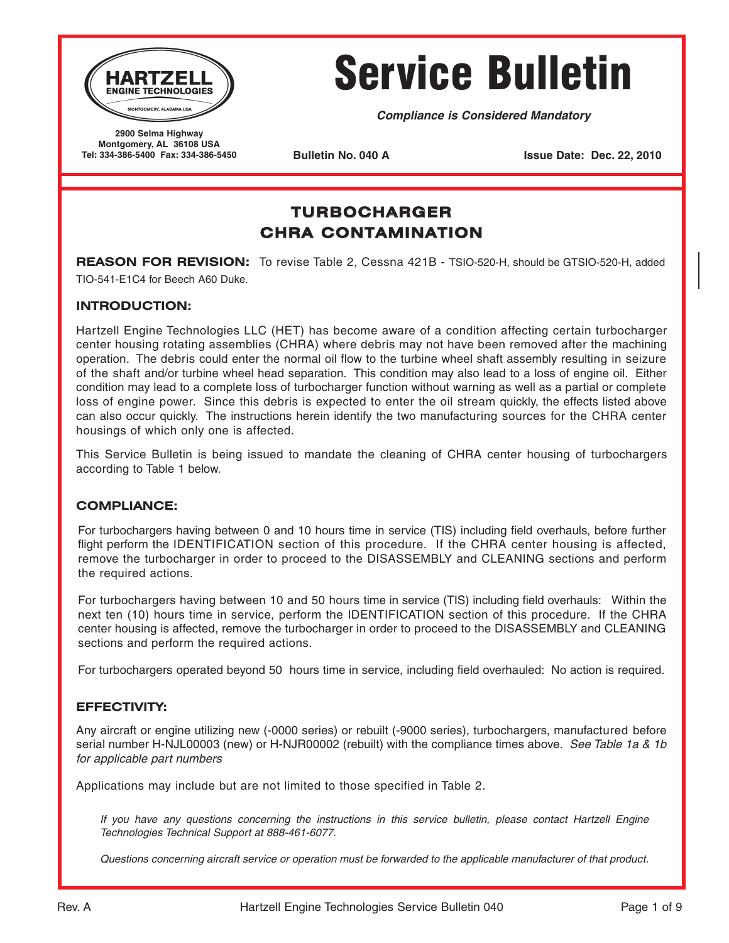

# Service Bulletin

**Compliance is Considered Mandatory**

**2900 Selma Highway Montgomery, AL 36108 USA Tel: 334-386-5400 Fax: 334-386-5450**

**Bulletin No. 040 A Issue Date: Dec. 22, 2010** 

# **TURBOCHARGER CHRA CONTAMINATION**

**REASON FOR REVISION:** To revise Table 2, Cessna 421B - TSIO-520-H, should be GTSIO-520-H, added TIO-541-E1C4 for Beech A60 Duke.

## **INTRODUCTION:**

Hartzell Engine Technologies LLC (HET) has become aware of a condition affecting certain turbocharger center housing rotating assemblies (CHRA) where debris may not have been removed after the machining operation. The debris could enter the normal oil flow to the turbine wheel shaft assembly resulting in seizure of the shaft and/or turbine wheel head separation. This condition may also lead to a loss of engine oil. Either condition may lead to a complete loss of turbocharger function without warning as well as a partial or complete loss of engine power. Since this debris is expected to enter the oil stream quickly, the effects listed above can also occur quickly. The instructions herein identify the two manufacturing sources for the CHRA center housings of which only one is affected.

This Service Bulletin is being issued to mandate the cleaning of CHRA center housing of turbochargers according to Table 1 below.

## **COMPLIANCE:**

For turbochargers having between 0 and 10 hours time in service (TIS) including field overhauls, before further flight perform the IDENTIFICATION section of this procedure. If the CHRA center housing is affected, remove the turbocharger in order to proceed to the DISASSEMBLY and CLEANING sections and perform the required actions.

For turbochargers having between 10 and 50 hours time in service (TIS) including field overhauls: Within the next ten (10) hours time in service, perform the IDENTIFICATION section of this procedure. If the CHRA center housing is affected, remove the turbocharger in order to proceed to the DISASSEMBLY and CLEANING sections and perform the required actions.

For turbochargers operated beyond 50 hours time in service, including field overhauled: No action is required.

## **EFFECTIVITY:**

Any aircraft or engine utilizing new (-0000 series) or rebuilt (-9000 series), turbochargers, manufactured before serial number H-NJL00003 (new) or H-NJR00002 (rebuilt) with the compliance times above. See Table 1a & 1b for applicable part numbers

Applications may include but are not limited to those specified in Table 2.

If you have any questions concerning the instructions in this service bulletin, please contact Hartzell Engine Technologies Technical Support at 888-461-6077.

Questions concerning aircraft service or operation must be forwarded to the applicable manufacturer of that product.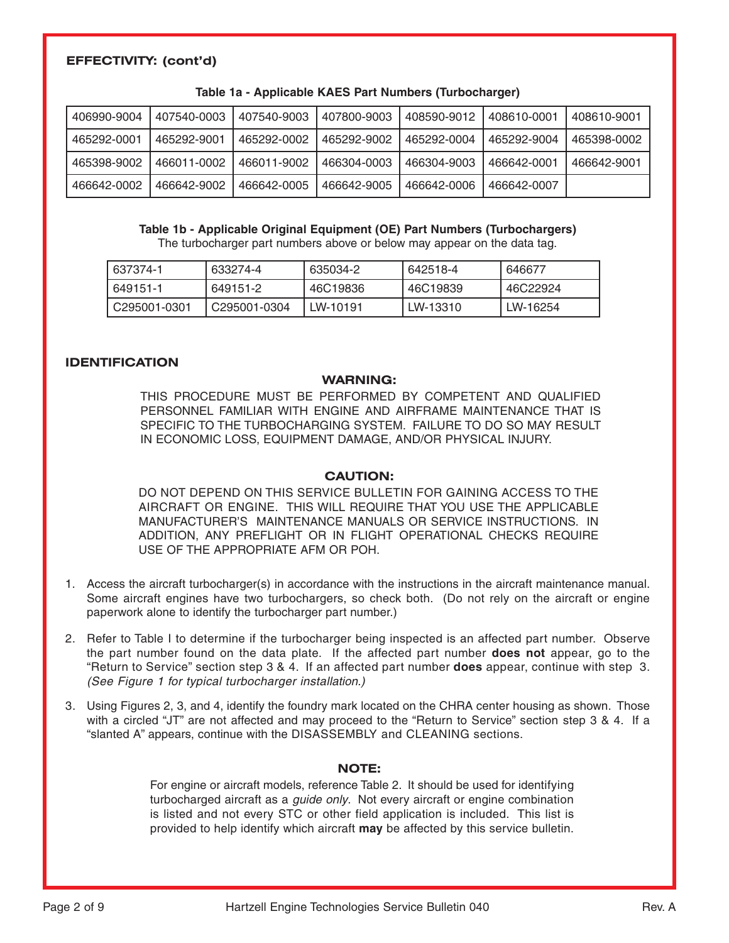## **EFFECTIVITY: (cont'd)**

| 406990-9004 | 407540-0003 | 407540-9003 | 407800-9003 | 408590-9012 | 408610-0001 | 408610-9001 |
|-------------|-------------|-------------|-------------|-------------|-------------|-------------|
| 465292-0001 | 465292-9001 | 465292-0002 | 465292-9002 | 465292-0004 | 465292-9004 | 465398-0002 |
| 465398-9002 | 466011-0002 | 466011-9002 | 466304-0003 | 466304-9003 | 466642-0001 | 466642-9001 |
| 466642-0002 | 466642-9002 | 466642-0005 | 466642-9005 | 466642-0006 | 466642-0007 |             |

**Table 1a - Applicable KAES Part Numbers (Turbocharger)**

### **Table 1b - Applicable Original Equipment (OE) Part Numbers (Turbochargers)**

The turbocharger part numbers above or below may appear on the data tag.

| 637374-1     | 633274-4     | 635034-2 | 642518-4 | 646677   |
|--------------|--------------|----------|----------|----------|
| 649151-1     | 649151-2     | 46C19836 | 46C19839 | 46C22924 |
| C295001-0301 | C295001-0304 | LW-10191 | LW-13310 | LW-16254 |

## **IDENTIFICATION**

#### **WARNING:**

THIS PROCEDURE MUST BE PERFORMED BY COMPETENT AND QUALIFIED PERSONNEL FAMILIAR WITH ENGINE AND AIRFRAME MAINTENANCE THAT IS SPECIFIC TO THE TURBOCHARGING SYSTEM. FAILURE TO DO SO MAY RESULT IN ECONOMIC LOSS, EQUIPMENT DAMAGE, AND/OR PHYSICAL INJURY.

#### **CAUTION:**

DO NOT DEPEND ON THIS SERVICE BULLETIN FOR GAINING ACCESS TO THE AIRCRAFT OR ENGINE. THIS WILL REQUIRE THAT YOU USE THE APPLICABLE MANUFACTURER'S MAINTENANCE MANUALS OR SERVICE INSTRUCTIONS. IN ADDITION, ANY PREFLIGHT OR IN FLIGHT OPERATIONAL CHECKS REQUIRE USE OF THE APPROPRIATE AFM OR POH.

- 1. Access the aircraft turbocharger(s) in accordance with the instructions in the aircraft maintenance manual. Some aircraft engines have two turbochargers, so check both. (Do not rely on the aircraft or engine paperwork alone to identify the turbocharger part number.)
- 2. Refer to Table I to determine if the turbocharger being inspected is an affected part number. Observe the part number found on the data plate. If the affected part number **does not** appear, go to the "Return to Service" section step 3 & 4. If an affected part number **does** appear, continue with step 3. (See Figure 1 for typical turbocharger installation.)
- 3. Using Figures 2, 3, and 4, identify the foundry mark located on the CHRA center housing as shown. Those with a circled "JT" are not affected and may proceed to the "Return to Service" section step 3 & 4. If a "slanted A" appears, continue with the DISASSEMBLY and CLEANING sections.

## **NOTE:**

For engine or aircraft models, reference Table 2. It should be used for identifying turbocharged aircraft as a *guide only*. Not every aircraft or engine combination is listed and not every STC or other field application is included. This list is provided to help identify which aircraft **may** be affected by this service bulletin.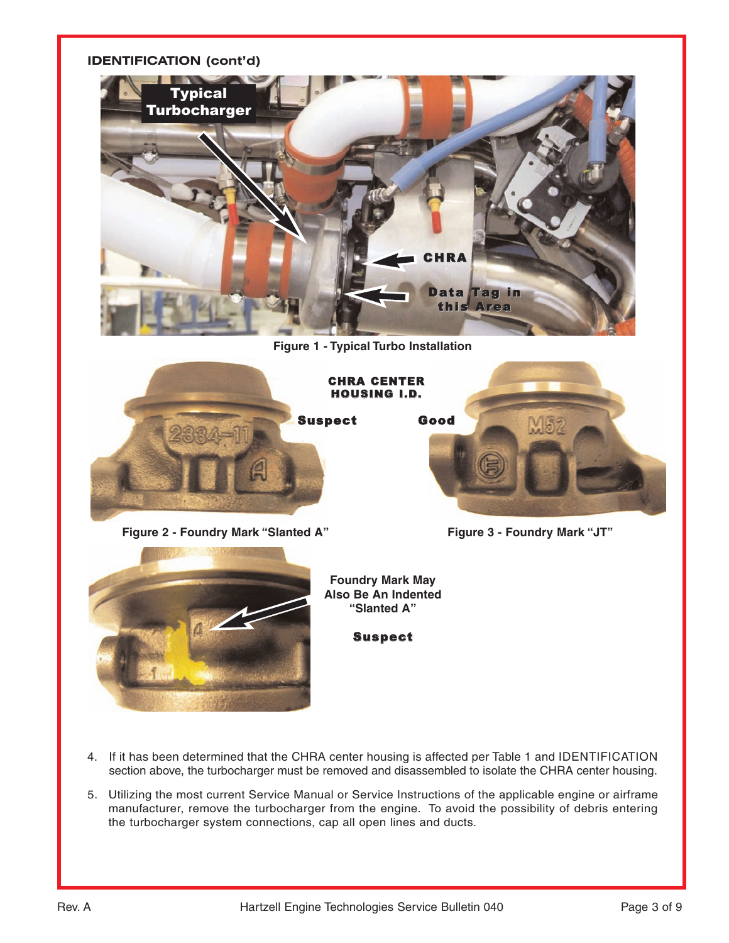## **IDENTIFICATION (cont'd)**



**Figure 1 - Typical Turbo Installation**



Figure 2 - Foundry Mark "Slanted A" Figure 3 - Foundry Mark "JT"





**Foundry Mark May Also Be An Indented "Slanted A"**

Suspect

- 4. If it has been determined that the CHRA center housing is affected per Table 1 and IDENTIFICATION section above, the turbocharger must be removed and disassembled to isolate the CHRA center housing.
- 5. Utilizing the most current Service Manual or Service Instructions of the applicable engine or airframe manufacturer, remove the turbocharger from the engine. To avoid the possibility of debris entering the turbocharger system connections, cap all open lines and ducts.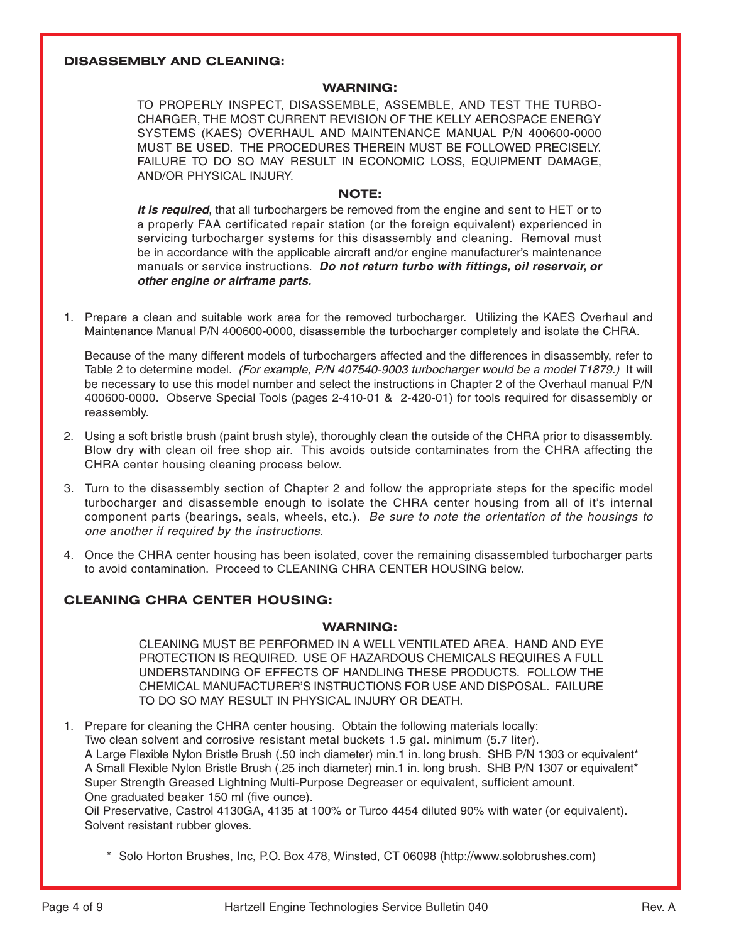## **DISASSEMBLY AND CLEANING:**

#### **WARNING:**

TO PROPERLY INSPECT, DISASSEMBLE, ASSEMBLE, AND TEST THE TURBO-CHARGER, THE MOST CURRENT REVISION OF THE KELLY AEROSPACE ENERGY SYSTEMS (KAES) OVERHAUL AND MAINTENANCE MANUAL P/N 400600-0000 MUST BE USED. THE PROCEDURES THEREIN MUST BE FOLLOWED PRECISELY. FAILURE TO DO SO MAY RESULT IN ECONOMIC LOSS, EQUIPMENT DAMAGE, AND/OR PHYSICAL INJURY.

## **NOTE:**

**It is required**, that all turbochargers be removed from the engine and sent to HET or to a properly FAA certificated repair station (or the foreign equivalent) experienced in servicing turbocharger systems for this disassembly and cleaning. Removal must be in accordance with the applicable aircraft and/or engine manufacturer's maintenance manuals or service instructions. **Do not return turbo with fittings, oil reservoir, or other engine or airframe parts.**

1. Prepare a clean and suitable work area for the removed turbocharger. Utilizing the KAES Overhaul and Maintenance Manual P/N 400600-0000, disassemble the turbocharger completely and isolate the CHRA.

Because of the many different models of turbochargers affected and the differences in disassembly, refer to Table 2 to determine model. (For example, P/N 407540-9003 turbocharger would be a model T1879.) It will be necessary to use this model number and select the instructions in Chapter 2 of the Overhaul manual P/N 400600-0000. Observe Special Tools (pages 2-410-01 & 2-420-01) for tools required for disassembly or reassembly.

- 2. Using a soft bristle brush (paint brush style), thoroughly clean the outside of the CHRA prior to disassembly. Blow dry with clean oil free shop air. This avoids outside contaminates from the CHRA affecting the CHRA center housing cleaning process below.
- 3. Turn to the disassembly section of Chapter 2 and follow the appropriate steps for the specific model turbocharger and disassemble enough to isolate the CHRA center housing from all of it's internal component parts (bearings, seals, wheels, etc.). Be sure to note the orientation of the housings to one another if required by the instructions.
- 4. Once the CHRA center housing has been isolated, cover the remaining disassembled turbocharger parts to avoid contamination. Proceed to CLEANING CHRA CENTER HOUSING below.

## **CLEANING CHRA CENTER HOUSING:**

#### **WARNING:**

CLEANING MUST BE PERFORMED IN A WELL VENTILATED AREA. HAND AND EYE PROTECTION IS REQUIRED. USE OF HAZARDOUS CHEMICALS REQUIRES A FULL UNDERSTANDING OF EFFECTS OF HANDLING THESE PRODUCTS. FOLLOW THE CHEMICAL MANUFACTURER'S INSTRUCTIONS FOR USE AND DISPOSAL. FAILURE TO DO SO MAY RESULT IN PHYSICAL INJURY OR DEATH.

1. Prepare for cleaning the CHRA center housing. Obtain the following materials locally: Two clean solvent and corrosive resistant metal buckets 1.5 gal. minimum (5.7 liter). A Large Flexible Nylon Bristle Brush (.50 inch diameter) min.1 in. long brush. SHB P/N 1303 or equivalent\* A Small Flexible Nylon Bristle Brush (.25 inch diameter) min.1 in. long brush. SHB P/N 1307 or equivalent\* Super Strength Greased Lightning Multi-Purpose Degreaser or equivalent, sufficient amount. One graduated beaker 150 ml (five ounce).

Oil Preservative, Castrol 4130GA, 4135 at 100% or Turco 4454 diluted 90% with water (or equivalent). Solvent resistant rubber gloves.

\* Solo Horton Brushes, Inc, P.O. Box 478, Winsted, CT 06098 (http://www.solobrushes.com)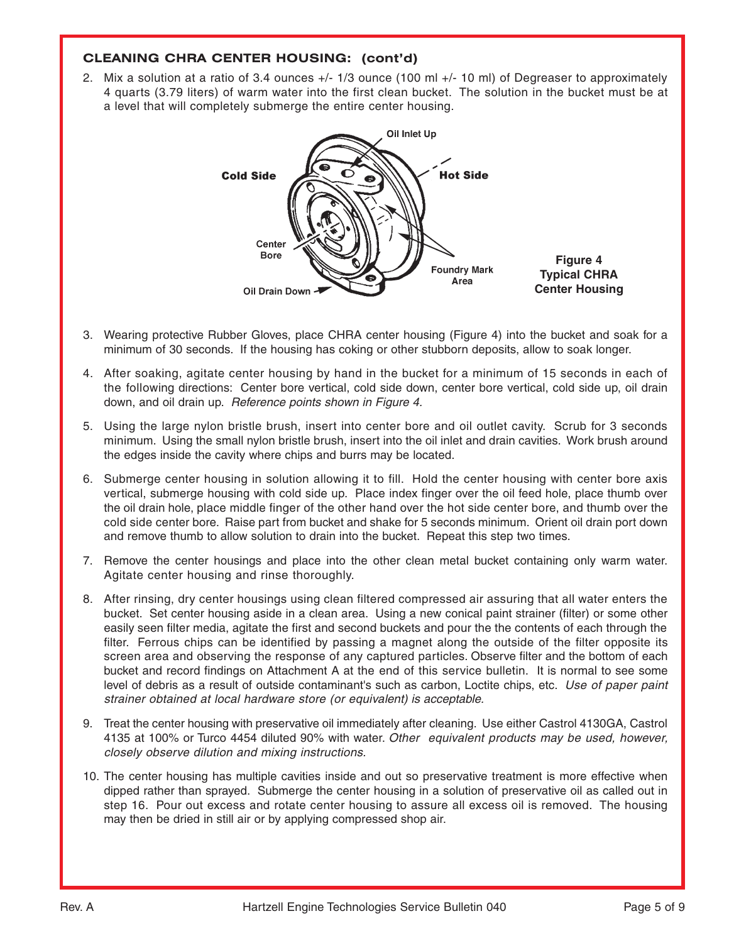## **CLEANING CHRA CENTER HOUSING: (cont'd)**

2. Mix a solution at a ratio of 3.4 ounces +/- 1/3 ounce (100 ml +/- 10 ml) of Degreaser to approximately 4 quarts (3.79 liters) of warm water into the first clean bucket. The solution in the bucket must be at a level that will completely submerge the entire center housing.



- 3. Wearing protective Rubber Gloves, place CHRA center housing (Figure 4) into the bucket and soak for a minimum of 30 seconds. If the housing has coking or other stubborn deposits, allow to soak longer.
- 4. After soaking, agitate center housing by hand in the bucket for a minimum of 15 seconds in each of the following directions: Center bore vertical, cold side down, center bore vertical, cold side up, oil drain down, and oil drain up. Reference points shown in Figure 4.
- 5. Using the large nylon bristle brush, insert into center bore and oil outlet cavity. Scrub for 3 seconds minimum. Using the small nylon bristle brush, insert into the oil inlet and drain cavities. Work brush around the edges inside the cavity where chips and burrs may be located.
- 6. Submerge center housing in solution allowing it to fill. Hold the center housing with center bore axis vertical, submerge housing with cold side up. Place index finger over the oil feed hole, place thumb over the oil drain hole, place middle finger of the other hand over the hot side center bore, and thumb over the cold side center bore. Raise part from bucket and shake for 5 seconds minimum. Orient oil drain port down and remove thumb to allow solution to drain into the bucket. Repeat this step two times.
- 7. Remove the center housings and place into the other clean metal bucket containing only warm water. Agitate center housing and rinse thoroughly.
- 8. After rinsing, dry center housings using clean filtered compressed air assuring that all water enters the bucket. Set center housing aside in a clean area. Using a new conical paint strainer (filter) or some other easily seen filter media, agitate the first and second buckets and pour the the contents of each through the filter. Ferrous chips can be identified by passing a magnet along the outside of the filter opposite its screen area and observing the response of any captured particles. Observe filter and the bottom of each bucket and record findings on Attachment A at the end of this service bulletin. It is normal to see some level of debris as a result of outside contaminant's such as carbon, Loctite chips, etc. Use of paper paint strainer obtained at local hardware store (or equivalent) is acceptable.
- 9. Treat the center housing with preservative oil immediately after cleaning. Use either Castrol 4130GA, Castrol 4135 at 100% or Turco 4454 diluted 90% with water. Other equivalent products may be used, however, closely observe dilution and mixing instructions.
- 10. The center housing has multiple cavities inside and out so preservative treatment is more effective when dipped rather than sprayed. Submerge the center housing in a solution of preservative oil as called out in step 16. Pour out excess and rotate center housing to assure all excess oil is removed. The housing may then be dried in still air or by applying compressed shop air.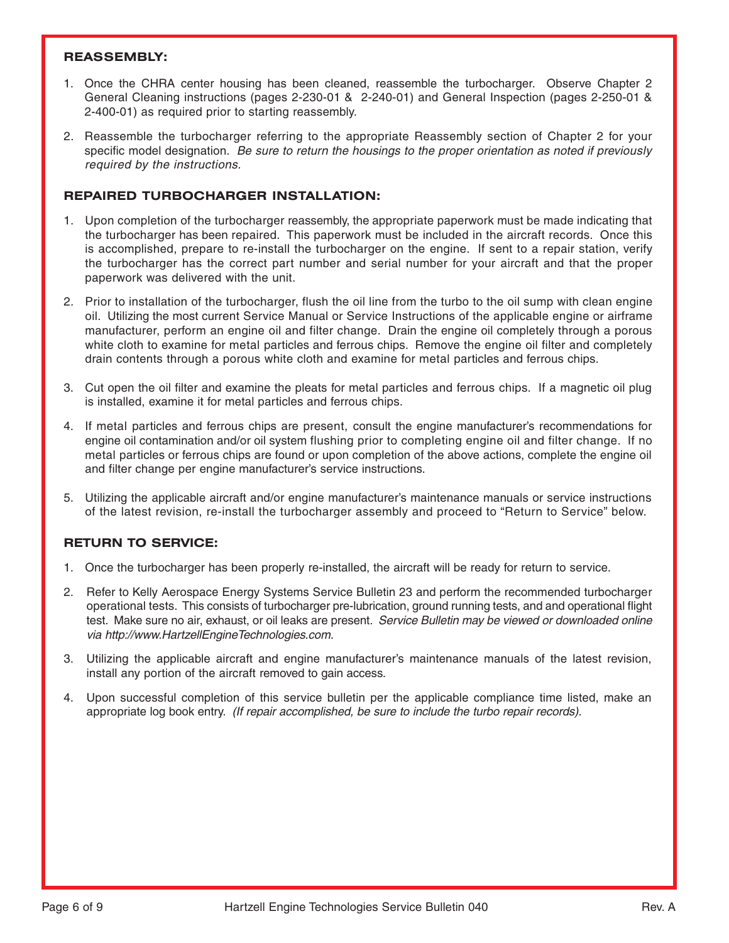## **REASSEMBLY:**

- 1. Once the CHRA center housing has been cleaned, reassemble the turbocharger. Observe Chapter 2 General Cleaning instructions (pages 2-230-01 & 2-240-01) and General Inspection (pages 2-250-01 & 2-400-01) as required prior to starting reassembly.
- 2. Reassemble the turbocharger referring to the appropriate Reassembly section of Chapter 2 for your specific model designation. Be sure to return the housings to the proper orientation as noted if previously required by the instructions.

## **REPAIRED TURBOCHARGER INSTALLATION:**

- 1. Upon completion of the turbocharger reassembly, the appropriate paperwork must be made indicating that the turbocharger has been repaired. This paperwork must be included in the aircraft records. Once this is accomplished, prepare to re-install the turbocharger on the engine. If sent to a repair station, verify the turbocharger has the correct part number and serial number for your aircraft and that the proper paperwork was delivered with the unit.
- 2. Prior to installation of the turbocharger, flush the oil line from the turbo to the oil sump with clean engine oil. Utilizing the most current Service Manual or Service Instructions of the applicable engine or airframe manufacturer, perform an engine oil and filter change. Drain the engine oil completely through a porous white cloth to examine for metal particles and ferrous chips. Remove the engine oil filter and completely drain contents through a porous white cloth and examine for metal particles and ferrous chips.
- 3. Cut open the oil filter and examine the pleats for metal particles and ferrous chips. If a magnetic oil plug is installed, examine it for metal particles and ferrous chips.
- 4. If metal particles and ferrous chips are present, consult the engine manufacturer's recommendations for engine oil contamination and/or oil system flushing prior to completing engine oil and filter change. If no metal particles or ferrous chips are found or upon completion of the above actions, complete the engine oil and filter change per engine manufacturer's service instructions.
- 5. Utilizing the applicable aircraft and/or engine manufacturer's maintenance manuals or service instructions of the latest revision, re-install the turbocharger assembly and proceed to "Return to Service" below.

## **RETURN TO SERVICE:**

- 1. Once the turbocharger has been properly re-installed, the aircraft will be ready for return to service.
- 2. Refer to Kelly Aerospace Energy Systems Service Bulletin 23 and perform the recommended turbocharger operational tests. This consists of turbocharger pre-lubrication, ground running tests, and and operational flight test. Make sure no air, exhaust, or oil leaks are present. Service Bulletin may be viewed or downloaded online via http://www.HartzellEngineTechnologies.com.
- 3. Utilizing the applicable aircraft and engine manufacturer's maintenance manuals of the latest revision, install any portion of the aircraft removed to gain access.
- 4. Upon successful completion of this service bulletin per the applicable compliance time listed, make an appropriate log book entry. (If repair accomplished, be sure to include the turbo repair records).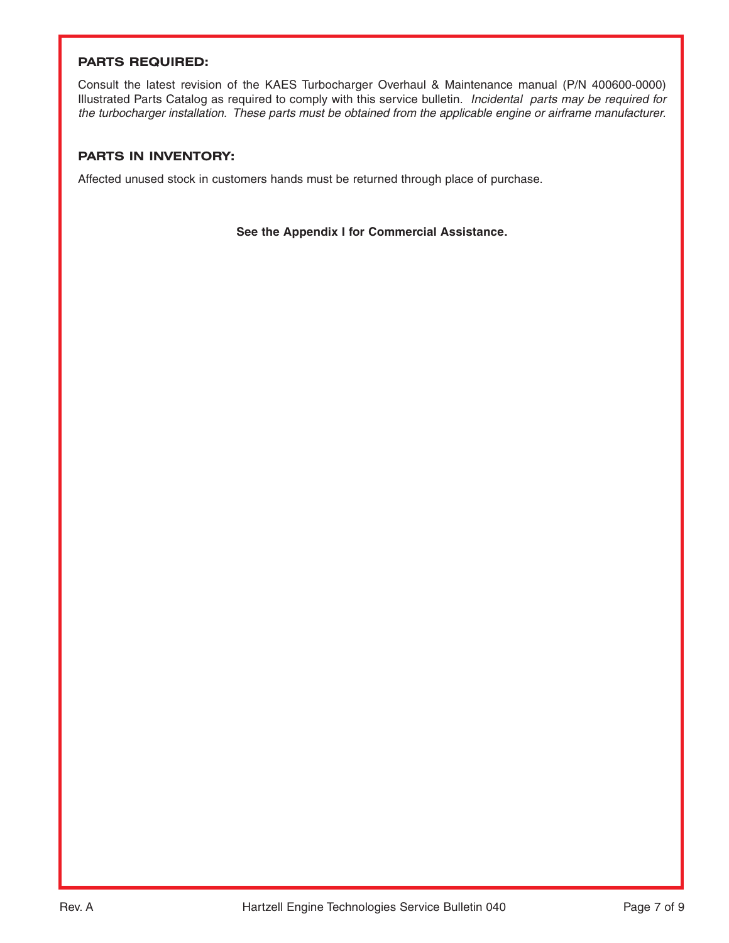## **PARTS REQUIRED:**

Consult the latest revision of the KAES Turbocharger Overhaul & Maintenance manual (P/N 400600-0000) Illustrated Parts Catalog as required to comply with this service bulletin. Incidental parts may be required for the turbocharger installation. These parts must be obtained from the applicable engine or airframe manufacturer.

## **PARTS IN INVENTORY:**

Affected unused stock in customers hands must be returned through place of purchase.

**See the Appendix I for Commercial Assistance.**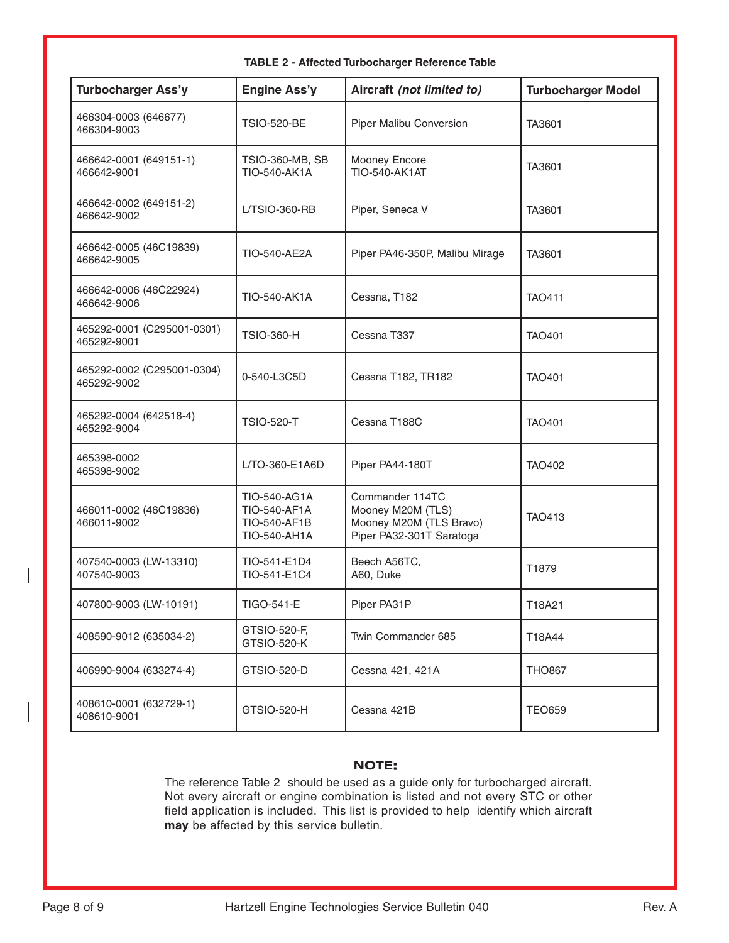| <b>Turbocharger Ass'y</b>                 | <b>Engine Ass'y</b>                                          | Aircraft (not limited to)                                                                   | <b>Turbocharger Model</b> |  |  |
|-------------------------------------------|--------------------------------------------------------------|---------------------------------------------------------------------------------------------|---------------------------|--|--|
| 466304-0003 (646677)<br>466304-9003       | <b>TSIO-520-BE</b>                                           | Piper Malibu Conversion                                                                     | TA3601                    |  |  |
| 466642-0001 (649151-1)<br>466642-9001     | TSIO-360-MB, SB<br><b>TIO-540-AK1A</b>                       | Mooney Encore<br><b>TIO-540-AK1AT</b>                                                       | TA3601                    |  |  |
| 466642-0002 (649151-2)<br>466642-9002     | L/TSIO-360-RB                                                | Piper, Seneca V                                                                             | TA3601                    |  |  |
| 466642-0005 (46C19839)<br>466642-9005     | TIO-540-AE2A                                                 | Piper PA46-350P, Malibu Mirage                                                              | TA3601                    |  |  |
| 466642-0006 (46C22924)<br>466642-9006     | <b>TIO-540-AK1A</b>                                          | Cessna, T182                                                                                | <b>TAO411</b>             |  |  |
| 465292-0001 (C295001-0301)<br>465292-9001 | <b>TSIO-360-H</b>                                            | Cessna T337                                                                                 | <b>TAO401</b>             |  |  |
| 465292-0002 (C295001-0304)<br>465292-9002 | 0-540-L3C5D                                                  | Cessna T182, TR182                                                                          | <b>TAO401</b>             |  |  |
| 465292-0004 (642518-4)<br>465292-9004     | <b>TSIO-520-T</b>                                            | Cessna T188C                                                                                | <b>TAO401</b>             |  |  |
| 465398-0002<br>465398-9002                | L/TO-360-E1A6D                                               | Piper PA44-180T                                                                             | <b>TAO402</b>             |  |  |
| 466011-0002 (46C19836)<br>466011-9002     | TIO-540-AG1A<br>TIO-540-AF1A<br>TIO-540-AF1B<br>TIO-540-AH1A | Commander 114TC<br>Mooney M20M (TLS)<br>Mooney M20M (TLS Bravo)<br>Piper PA32-301T Saratoga | <b>TAO413</b>             |  |  |
| 407540-0003 (LW-13310)<br>407540-9003     | TIO-541-E1D4<br>TIO-541-E1C4                                 | Beech A56TC,<br>A60, Duke                                                                   | T1879                     |  |  |
| 407800-9003 (LW-10191)                    | TIGO-541-E                                                   | Piper PA31P                                                                                 | T18A21                    |  |  |
| 408590-9012 (635034-2)                    | GTSIO-520-F,<br><b>GTSIO-520-K</b>                           | Twin Commander 685                                                                          | T18A44                    |  |  |
| 406990-9004 (633274-4)                    | GTSIO-520-D                                                  | Cessna 421, 421A                                                                            | <b>THO867</b>             |  |  |
| 408610-0001 (632729-1)<br>408610-9001     | GTSIO-520-H                                                  | Cessna 421B                                                                                 | <b>TEO659</b>             |  |  |

## **TABLE 2 - Affected Turbocharger Reference Table**

## **NOTE:**

The reference Table 2 should be used as a guide only for turbocharged aircraft. Not every aircraft or engine combination is listed and not every STC or other field application is included. This list is provided to help identify which aircraft **may** be affected by this service bulletin.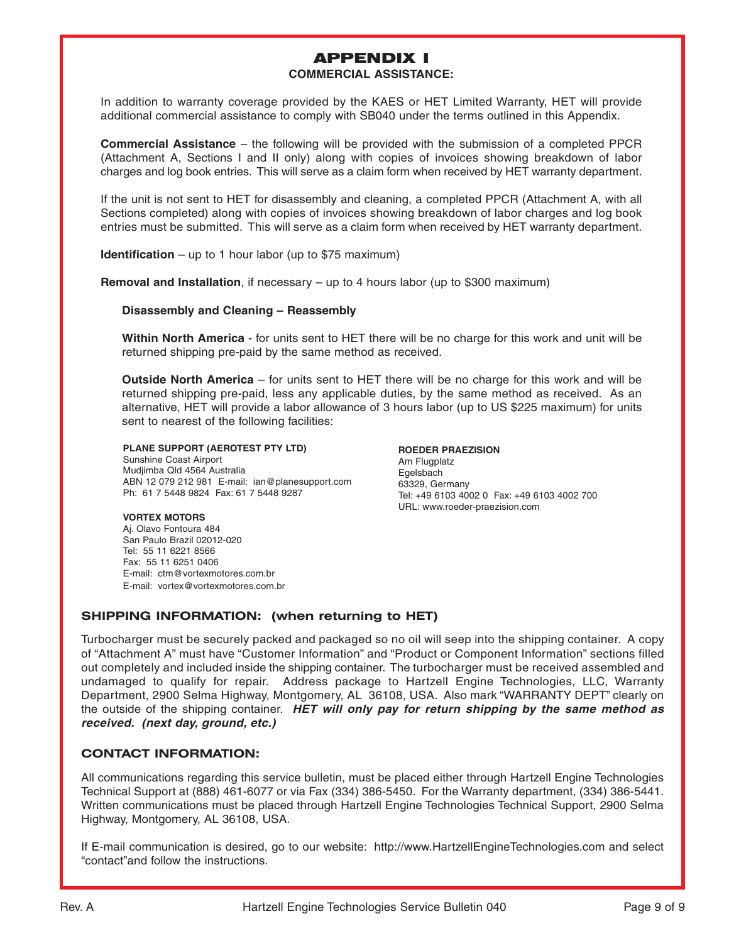## APPENDIX I

#### **COMMERCIAL ASSISTANCE:**

In addition to warranty coverage provided by the KAES or HET Limited Warranty, HET will provide additional commercial assistance to comply with SB040 under the terms outlined in this Appendix.

**Commercial Assistance** – the following will be provided with the submission of a completed PPCR (Attachment A, Sections I and II only) along with copies of invoices showing breakdown of labor charges and log book entries. This will serve as a claim form when received by HET warranty department.

If the unit is not sent to HET for disassembly and cleaning, a completed PPCR (Attachment A, with all Sections completed) along with copies of invoices showing breakdown of labor charges and log book entries must be submitted. This will serve as a claim form when received by HET warranty department.

**Identification** – up to 1 hour labor (up to \$75 maximum)

**Removal and Installation**, if necessary – up to 4 hours labor (up to \$300 maximum)

#### **Disassembly and Cleaning – Reassembly**

**Within North America** - for units sent to HET there will be no charge for this work and unit will be returned shipping pre-paid by the same method as received.

**Outside North America** – for units sent to HET there will be no charge for this work and will be returned shipping pre-paid, less any applicable duties, by the same method as received. As an alternative, HET will provide a labor allowance of 3 hours labor (up to US \$225 maximum) for units sent to nearest of the following facilities:

**PLANE SUPPORT (AEROTEST PTY LTD)** Sunshine Coast Airport Mudjimba Qld 4564 Australia ABN 12 079 212 981 E-mail: ian@planesupport.com Ph: 61 7 5448 9824 Fax: 61 7 5448 9287

**ROEDER PRAEZISION** Am Flugplatz **Egelsbach** 63329, Germany Tel: +49 6103 4002 0 Fax: +49 6103 4002 700 URL: www.roeder-praezision.com

#### **VORTEX MOTORS**

Aj. Olavo Fontoura 484 San Paulo Brazil 02012-020 Tel: 55 11 6221 8566 Fax: 55 11 6251 0406 E-mail: ctm@vortexmotores.com.br E-mail: vortex@vortexmotores.com.br

## **SHIPPING INFORMATION: (when returning to HET)**

Turbocharger must be securely packed and packaged so no oil will seep into the shipping container. A copy of "Attachment A" must have "Customer Information" and "Product or Component Information" sections filled out completely and included inside the shipping container. The turbocharger must be received assembled and undamaged to qualify for repair. Address package to Hartzell Engine Technologies, LLC, Warranty Department, 2900 Selma Highway, Montgomery, AL 36108, USA. Also mark "WARRANTY DEPT" clearly on the outside of the shipping container. **HET will only pay for return shipping by the same method as received. (next day, ground, etc.)**

## **CONTACT INFORMATION:**

All communications regarding this service bulletin, must be placed either through Hartzell Engine Technologies Technical Support at (888) 461-6077 or via Fax (334) 386-5450. For the Warranty department, (334) 386-5441. Written communications must be placed through Hartzell Engine Technologies Technical Support, 2900 Selma Highway, Montgomery, AL 36108, USA.

If E-mail communication is desired, go to our website: http://www.HartzellEngineTechnologies.com and select "contact"and follow the instructions.